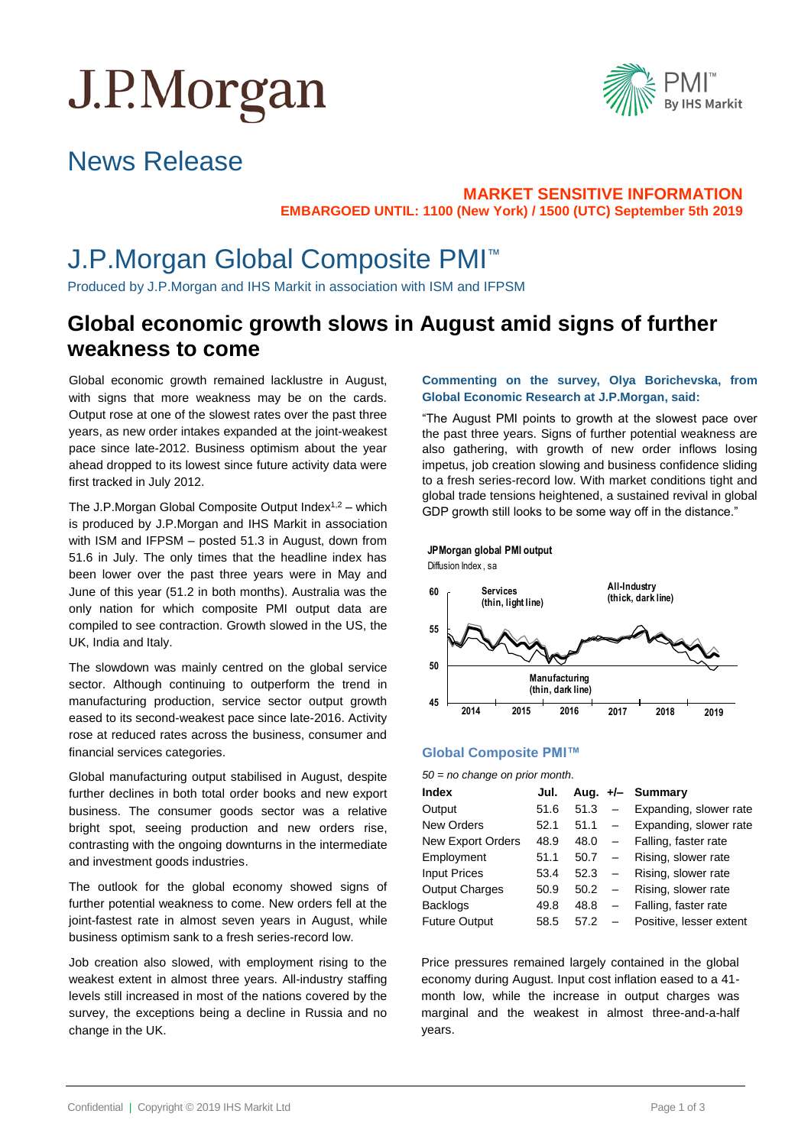# J.P.Morgan



## News Release

#### **MARKET SENSITIVE INFORMATION EMBARGOED UNTIL: 1100 (New York) / 1500 (UTC) September 5th 2019**

## J.P.Morgan Global Composite PMI™

Produced by J.P.Morgan and IHS Markit in association with ISM and IFPSM

### **Global economic growth slows in August amid signs of further weakness to come**

Global economic growth remained lacklustre in August, with signs that more weakness may be on the cards. Output rose at one of the slowest rates over the past three years, as new order intakes expanded at the joint-weakest pace since late-2012. Business optimism about the year ahead dropped to its lowest since future activity data were first tracked in July 2012.

The J.P.Morgan Global Composite Output Index<sup>1,2</sup> – which is produced by J.P.Morgan and IHS Markit in association with ISM and IFPSM – posted 51.3 in August, down from 51.6 in July. The only times that the headline index has been lower over the past three years were in May and June of this year (51.2 in both months). Australia was the only nation for which composite PMI output data are compiled to see contraction. Growth slowed in the US, the UK, India and Italy.

The slowdown was mainly centred on the global service sector. Although continuing to outperform the trend in manufacturing production, service sector output growth eased to its second-weakest pace since late-2016. Activity rose at reduced rates across the business, consumer and financial services categories.

Global manufacturing output stabilised in August, despite further declines in both total order books and new export business. The consumer goods sector was a relative bright spot, seeing production and new orders rise, contrasting with the ongoing downturns in the intermediate and investment goods industries.

The outlook for the global economy showed signs of further potential weakness to come. New orders fell at the joint-fastest rate in almost seven years in August, while business optimism sank to a fresh series-record low.

Job creation also slowed, with employment rising to the weakest extent in almost three years. All-industry staffing levels still increased in most of the nations covered by the survey, the exceptions being a decline in Russia and no change in the UK.

#### **Commenting on the survey, Olya Borichevska, from Global Economic Research at J.P.Morgan, said:**

"The August PMI points to growth at the slowest pace over the past three years. Signs of further potential weakness are also gathering, with growth of new order inflows losing impetus, job creation slowing and business confidence sliding to a fresh series-record low. With market conditions tight and global trade tensions heightened, a sustained revival in global GDP growth still looks to be some way off in the distance."



#### **Global Composite PMI™**

*50 = no change on prior month*.

| <b>Index</b>          | Jul. |          |                          | Aug. +/- Summary        |
|-----------------------|------|----------|--------------------------|-------------------------|
| Output                | 51.6 | 51.3     | $\overline{\phantom{0}}$ | Expanding, slower rate  |
| <b>New Orders</b>     | 52.1 | $51.1 -$ |                          | Expanding, slower rate  |
| New Export Orders     | 48.9 | 48.0     | $\overline{\phantom{m}}$ | Falling, faster rate    |
| Employment            | 51.1 | 50.7     | $\sim$                   | Rising, slower rate     |
| <b>Input Prices</b>   | 53.4 | $52.3 -$ |                          | Rising, slower rate     |
| <b>Output Charges</b> | 50.9 | 50.2     | $\overline{\phantom{m}}$ | Rising, slower rate     |
| <b>Backlogs</b>       | 49.8 | 48.8     | $\qquad \qquad -$        | Falling, faster rate    |
| <b>Future Output</b>  | 58.5 | 57.2     |                          | Positive, lesser extent |

Price pressures remained largely contained in the global economy during August. Input cost inflation eased to a 41 month low, while the increase in output charges was marginal and the weakest in almost three-and-a-half years.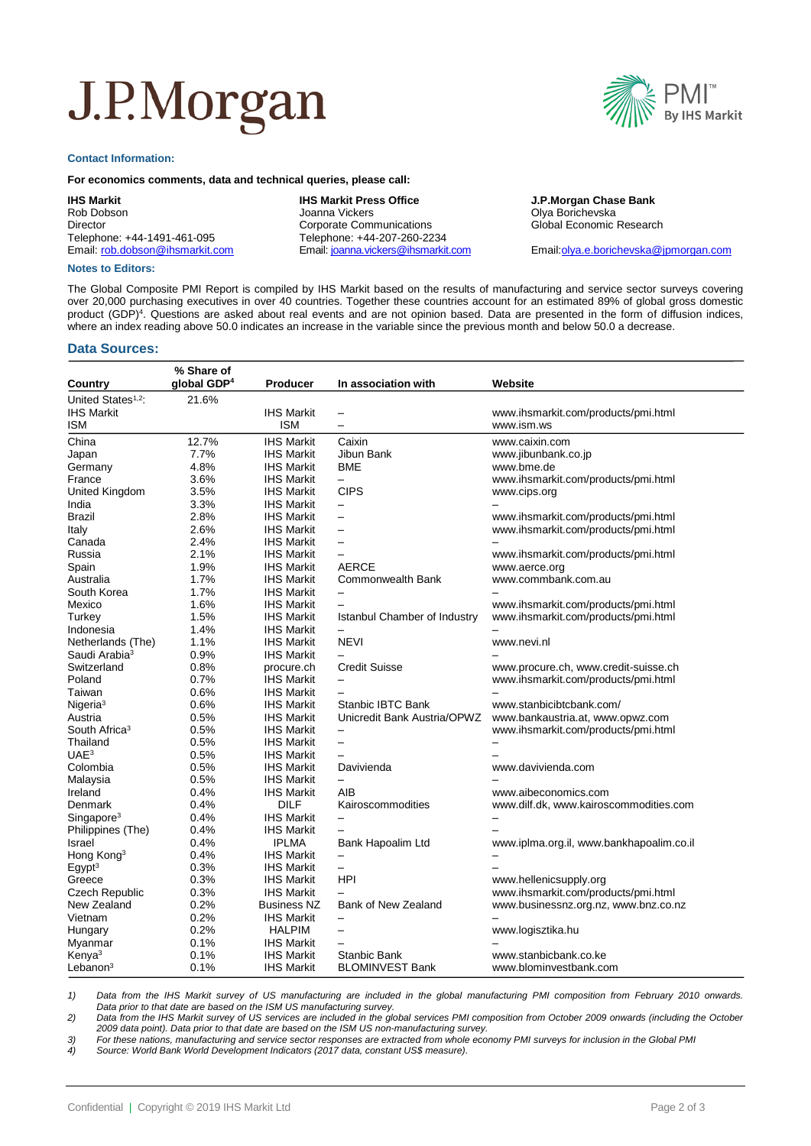# J.P.Morgan

#### **Contact Information:**

#### **For economics comments, data and technical queries, please call:**

#### **IHS Markit**

Rob Dobson Director Telephone: +44-1491-461-095 Email: [rob.dobson@ihsmarkit.com](mailto:rob.dobson@ihsmarkit.com)

#### **IHS Markit Press Office**

Joanna Vickers Corporate Communications Telephone: +44-207-260-2234 Email[: joanna.vickers@ihsmarkit.com](mailto:joanna.vickers@ihsmarkit.com) **J.P.Morgan Chase Bank** Olya Borichevska Global Economic Research

Emai[l:olya.e.borichevska@jpmorgan.com](mailto:olya.e.borichevska@jpmorgan.com)

#### **Notes to Editors:**

The Global Composite PMI Report is compiled by IHS Markit based on the results of manufacturing and service sector surveys covering over 20,000 purchasing executives in over 40 countries. Together these countries account for an estimated 89% of global gross domestic product (GDP)<sup>4</sup>. Questions are asked about real events and are not opinion based. Data are presented in the form of diffusion indices, where an index reading above 50.0 indicates an increase in the variable since the previous month and below 50.0 a decrease.

#### **Data Sources:**

| United States <sup>1,2</sup> :<br>21.6%<br>IHS Markit<br><b>IHS Markit</b><br>www.ihsmarkit.com/products/pmi.html<br>$\qquad \qquad -$<br><b>ISM</b><br>ISM<br>www.ism.ws<br>$\qquad \qquad -$<br>China<br>12.7%<br><b>IHS Markit</b><br>Caixin<br>www.caixin.com<br>7.7%<br><b>IHS Markit</b><br>Jibun Bank<br>Japan<br>www.jibunbank.co.jp<br>4.8%<br><b>BME</b><br>Germany<br><b>IHS Markit</b><br>www.bme.de<br>3.6%<br><b>IHS Markit</b><br>www.ihsmarkit.com/products/pmi.html<br>France<br>$\overline{\phantom{0}}$<br><b>CIPS</b><br>United Kingdom<br>3.5%<br><b>IHS Markit</b><br>www.cips.org<br>3.3%<br><b>IHS Markit</b><br>India<br>$\qquad \qquad -$<br>2.8%<br>www.ihsmarkit.com/products/pmi.html<br>Brazil<br><b>IHS Markit</b><br>$\qquad \qquad -$<br>2.6%<br>www.ihsmarkit.com/products/pmi.html<br><b>IHS Markit</b><br>Italy<br>2.4%<br><b>IHS Markit</b><br>Canada<br>2.1%<br><b>IHS Markit</b><br>www.ihsmarkit.com/products/pmi.html<br>Russia<br>$\qquad \qquad -$<br>1.9%<br><b>AERCE</b><br><b>IHS Markit</b><br>Spain<br>www.aerce.org<br>1.7%<br>www.commbank.com.au<br><b>IHS Markit</b><br>Commonwealth Bank<br>Australia<br>1.7%<br>South Korea<br><b>IHS Markit</b><br>$\overline{\phantom{0}}$<br>1.6%<br>Mexico<br><b>IHS Markit</b><br>www.ihsmarkit.com/products/pmi.html<br>1.5%<br>Istanbul Chamber of Industry<br>www.ihsmarkit.com/products/pmi.html<br>Turkey<br><b>IHS Markit</b><br>1.4%<br><b>IHS Markit</b><br>Indonesia<br>$\overline{\phantom{0}}$<br><b>NEVI</b><br>1.1%<br><b>IHS Markit</b><br>Netherlands (The)<br>www.nevi.nl<br>Saudi Arabia <sup>3</sup><br>0.9%<br><b>IHS Markit</b><br>0.8%<br><b>Credit Suisse</b><br>Switzerland<br>www.procure.ch, www.credit-suisse.ch<br>procure.ch<br>0.7%<br>www.ihsmarkit.com/products/pmi.html<br>Poland<br><b>IHS Markit</b><br>0.6%<br><b>IHS Markit</b><br>Taiwan<br>Nigeria <sup>3</sup><br>0.6%<br>Stanbic IBTC Bank<br>www.stanbicibtcbank.com/<br><b>IHS Markit</b><br>Unicredit Bank Austria/OPWZ<br>0.5%<br><b>IHS Markit</b><br>www.bankaustria.at, www.opwz.com<br>Austria<br>South Africa <sup>3</sup><br>0.5%<br><b>IHS Markit</b><br>www.ihsmarkit.com/products/pmi.html<br>Thailand<br>0.5%<br><b>IHS Markit</b><br>$\overline{\phantom{0}}$<br>UAE <sup>3</sup><br>0.5%<br><b>IHS Markit</b><br>0.5%<br><b>IHS Markit</b><br>Davivienda<br>www.davivienda.com<br>Colombia<br>0.5%<br><b>IHS Markit</b><br>Malaysia<br>$\qquad \qquad -$<br>0.4%<br><b>IHS Markit</b><br>AIB<br>www.aibeconomics.com<br>Ireland<br><b>DILF</b><br>Kairoscommodities<br>0.4%<br>www.dilf.dk, www.kairoscommodities.com<br>Denmark<br>0.4%<br>Singapore <sup>3</sup><br><b>IHS Markit</b><br>$\overline{\phantom{0}}$<br>0.4%<br>Philippines (The)<br><b>IHS Markit</b><br>$\qquad \qquad -$<br>0.4%<br>Bank Hapoalim Ltd<br>www.iplma.org.il, www.bankhapoalim.co.il<br>IPLMA<br>Israel<br>Hong Kong <sup>3</sup><br>0.4%<br><b>IHS Markit</b><br>$\qquad \qquad -$<br>$E$ gypt <sup>3</sup><br>0.3%<br><b>IHS Markit</b><br>HPI<br>0.3%<br>www.hellenicsupply.org<br>Greece<br><b>IHS Markit</b><br>www.ihsmarkit.com/products/pmi.html<br><b>Czech Republic</b><br>0.3%<br><b>IHS Markit</b><br>$\overline{\phantom{0}}$<br>New Zealand<br>0.2%<br>Bank of New Zealand<br><b>Business NZ</b><br>www.businessnz.org.nz, www.bnz.co.nz<br>0.2%<br>Vietnam<br><b>IHS Markit</b><br>0.2%<br><b>HALPIM</b><br>Hungary<br>www.logisztika.hu<br>Myanmar<br>0.1%<br><b>IHS Markit</b><br>$\overline{\phantom{0}}$<br>Kenya <sup>3</sup><br>0.1%<br><b>IHS Markit</b><br><b>Stanbic Bank</b><br>www.stanbicbank.co.ke | Country     | % Share of<br>global GDP <sup>4</sup> | Producer          | In association with    | Website                |
|------------------------------------------------------------------------------------------------------------------------------------------------------------------------------------------------------------------------------------------------------------------------------------------------------------------------------------------------------------------------------------------------------------------------------------------------------------------------------------------------------------------------------------------------------------------------------------------------------------------------------------------------------------------------------------------------------------------------------------------------------------------------------------------------------------------------------------------------------------------------------------------------------------------------------------------------------------------------------------------------------------------------------------------------------------------------------------------------------------------------------------------------------------------------------------------------------------------------------------------------------------------------------------------------------------------------------------------------------------------------------------------------------------------------------------------------------------------------------------------------------------------------------------------------------------------------------------------------------------------------------------------------------------------------------------------------------------------------------------------------------------------------------------------------------------------------------------------------------------------------------------------------------------------------------------------------------------------------------------------------------------------------------------------------------------------------------------------------------------------------------------------------------------------------------------------------------------------------------------------------------------------------------------------------------------------------------------------------------------------------------------------------------------------------------------------------------------------------------------------------------------------------------------------------------------------------------------------------------------------------------------------------------------------------------------------------------------------------------------------------------------------------------------------------------------------------------------------------------------------------------------------------------------------------------------------------------------------------------------------------------------------------------------------------------------------------------------------------------------------------------------------------------------------------------------------------------------------------------------------------------------------------------------------------------------------------------------------------------------------------------------------------------------------------------------------------------------------------------------------------------------------------------------------------------------------------------------------------------------------|-------------|---------------------------------------|-------------------|------------------------|------------------------|
|                                                                                                                                                                                                                                                                                                                                                                                                                                                                                                                                                                                                                                                                                                                                                                                                                                                                                                                                                                                                                                                                                                                                                                                                                                                                                                                                                                                                                                                                                                                                                                                                                                                                                                                                                                                                                                                                                                                                                                                                                                                                                                                                                                                                                                                                                                                                                                                                                                                                                                                                                                                                                                                                                                                                                                                                                                                                                                                                                                                                                                                                                                                                                                                                                                                                                                                                                                                                                                                                                                                                                                                                                  |             |                                       |                   |                        |                        |
|                                                                                                                                                                                                                                                                                                                                                                                                                                                                                                                                                                                                                                                                                                                                                                                                                                                                                                                                                                                                                                                                                                                                                                                                                                                                                                                                                                                                                                                                                                                                                                                                                                                                                                                                                                                                                                                                                                                                                                                                                                                                                                                                                                                                                                                                                                                                                                                                                                                                                                                                                                                                                                                                                                                                                                                                                                                                                                                                                                                                                                                                                                                                                                                                                                                                                                                                                                                                                                                                                                                                                                                                                  |             |                                       |                   |                        |                        |
|                                                                                                                                                                                                                                                                                                                                                                                                                                                                                                                                                                                                                                                                                                                                                                                                                                                                                                                                                                                                                                                                                                                                                                                                                                                                                                                                                                                                                                                                                                                                                                                                                                                                                                                                                                                                                                                                                                                                                                                                                                                                                                                                                                                                                                                                                                                                                                                                                                                                                                                                                                                                                                                                                                                                                                                                                                                                                                                                                                                                                                                                                                                                                                                                                                                                                                                                                                                                                                                                                                                                                                                                                  |             |                                       |                   |                        |                        |
|                                                                                                                                                                                                                                                                                                                                                                                                                                                                                                                                                                                                                                                                                                                                                                                                                                                                                                                                                                                                                                                                                                                                                                                                                                                                                                                                                                                                                                                                                                                                                                                                                                                                                                                                                                                                                                                                                                                                                                                                                                                                                                                                                                                                                                                                                                                                                                                                                                                                                                                                                                                                                                                                                                                                                                                                                                                                                                                                                                                                                                                                                                                                                                                                                                                                                                                                                                                                                                                                                                                                                                                                                  |             |                                       |                   |                        |                        |
|                                                                                                                                                                                                                                                                                                                                                                                                                                                                                                                                                                                                                                                                                                                                                                                                                                                                                                                                                                                                                                                                                                                                                                                                                                                                                                                                                                                                                                                                                                                                                                                                                                                                                                                                                                                                                                                                                                                                                                                                                                                                                                                                                                                                                                                                                                                                                                                                                                                                                                                                                                                                                                                                                                                                                                                                                                                                                                                                                                                                                                                                                                                                                                                                                                                                                                                                                                                                                                                                                                                                                                                                                  |             |                                       |                   |                        |                        |
|                                                                                                                                                                                                                                                                                                                                                                                                                                                                                                                                                                                                                                                                                                                                                                                                                                                                                                                                                                                                                                                                                                                                                                                                                                                                                                                                                                                                                                                                                                                                                                                                                                                                                                                                                                                                                                                                                                                                                                                                                                                                                                                                                                                                                                                                                                                                                                                                                                                                                                                                                                                                                                                                                                                                                                                                                                                                                                                                                                                                                                                                                                                                                                                                                                                                                                                                                                                                                                                                                                                                                                                                                  |             |                                       |                   |                        |                        |
|                                                                                                                                                                                                                                                                                                                                                                                                                                                                                                                                                                                                                                                                                                                                                                                                                                                                                                                                                                                                                                                                                                                                                                                                                                                                                                                                                                                                                                                                                                                                                                                                                                                                                                                                                                                                                                                                                                                                                                                                                                                                                                                                                                                                                                                                                                                                                                                                                                                                                                                                                                                                                                                                                                                                                                                                                                                                                                                                                                                                                                                                                                                                                                                                                                                                                                                                                                                                                                                                                                                                                                                                                  |             |                                       |                   |                        |                        |
|                                                                                                                                                                                                                                                                                                                                                                                                                                                                                                                                                                                                                                                                                                                                                                                                                                                                                                                                                                                                                                                                                                                                                                                                                                                                                                                                                                                                                                                                                                                                                                                                                                                                                                                                                                                                                                                                                                                                                                                                                                                                                                                                                                                                                                                                                                                                                                                                                                                                                                                                                                                                                                                                                                                                                                                                                                                                                                                                                                                                                                                                                                                                                                                                                                                                                                                                                                                                                                                                                                                                                                                                                  |             |                                       |                   |                        |                        |
|                                                                                                                                                                                                                                                                                                                                                                                                                                                                                                                                                                                                                                                                                                                                                                                                                                                                                                                                                                                                                                                                                                                                                                                                                                                                                                                                                                                                                                                                                                                                                                                                                                                                                                                                                                                                                                                                                                                                                                                                                                                                                                                                                                                                                                                                                                                                                                                                                                                                                                                                                                                                                                                                                                                                                                                                                                                                                                                                                                                                                                                                                                                                                                                                                                                                                                                                                                                                                                                                                                                                                                                                                  |             |                                       |                   |                        |                        |
|                                                                                                                                                                                                                                                                                                                                                                                                                                                                                                                                                                                                                                                                                                                                                                                                                                                                                                                                                                                                                                                                                                                                                                                                                                                                                                                                                                                                                                                                                                                                                                                                                                                                                                                                                                                                                                                                                                                                                                                                                                                                                                                                                                                                                                                                                                                                                                                                                                                                                                                                                                                                                                                                                                                                                                                                                                                                                                                                                                                                                                                                                                                                                                                                                                                                                                                                                                                                                                                                                                                                                                                                                  |             |                                       |                   |                        |                        |
|                                                                                                                                                                                                                                                                                                                                                                                                                                                                                                                                                                                                                                                                                                                                                                                                                                                                                                                                                                                                                                                                                                                                                                                                                                                                                                                                                                                                                                                                                                                                                                                                                                                                                                                                                                                                                                                                                                                                                                                                                                                                                                                                                                                                                                                                                                                                                                                                                                                                                                                                                                                                                                                                                                                                                                                                                                                                                                                                                                                                                                                                                                                                                                                                                                                                                                                                                                                                                                                                                                                                                                                                                  |             |                                       |                   |                        |                        |
|                                                                                                                                                                                                                                                                                                                                                                                                                                                                                                                                                                                                                                                                                                                                                                                                                                                                                                                                                                                                                                                                                                                                                                                                                                                                                                                                                                                                                                                                                                                                                                                                                                                                                                                                                                                                                                                                                                                                                                                                                                                                                                                                                                                                                                                                                                                                                                                                                                                                                                                                                                                                                                                                                                                                                                                                                                                                                                                                                                                                                                                                                                                                                                                                                                                                                                                                                                                                                                                                                                                                                                                                                  |             |                                       |                   |                        |                        |
|                                                                                                                                                                                                                                                                                                                                                                                                                                                                                                                                                                                                                                                                                                                                                                                                                                                                                                                                                                                                                                                                                                                                                                                                                                                                                                                                                                                                                                                                                                                                                                                                                                                                                                                                                                                                                                                                                                                                                                                                                                                                                                                                                                                                                                                                                                                                                                                                                                                                                                                                                                                                                                                                                                                                                                                                                                                                                                                                                                                                                                                                                                                                                                                                                                                                                                                                                                                                                                                                                                                                                                                                                  |             |                                       |                   |                        |                        |
|                                                                                                                                                                                                                                                                                                                                                                                                                                                                                                                                                                                                                                                                                                                                                                                                                                                                                                                                                                                                                                                                                                                                                                                                                                                                                                                                                                                                                                                                                                                                                                                                                                                                                                                                                                                                                                                                                                                                                                                                                                                                                                                                                                                                                                                                                                                                                                                                                                                                                                                                                                                                                                                                                                                                                                                                                                                                                                                                                                                                                                                                                                                                                                                                                                                                                                                                                                                                                                                                                                                                                                                                                  |             |                                       |                   |                        |                        |
|                                                                                                                                                                                                                                                                                                                                                                                                                                                                                                                                                                                                                                                                                                                                                                                                                                                                                                                                                                                                                                                                                                                                                                                                                                                                                                                                                                                                                                                                                                                                                                                                                                                                                                                                                                                                                                                                                                                                                                                                                                                                                                                                                                                                                                                                                                                                                                                                                                                                                                                                                                                                                                                                                                                                                                                                                                                                                                                                                                                                                                                                                                                                                                                                                                                                                                                                                                                                                                                                                                                                                                                                                  |             |                                       |                   |                        |                        |
|                                                                                                                                                                                                                                                                                                                                                                                                                                                                                                                                                                                                                                                                                                                                                                                                                                                                                                                                                                                                                                                                                                                                                                                                                                                                                                                                                                                                                                                                                                                                                                                                                                                                                                                                                                                                                                                                                                                                                                                                                                                                                                                                                                                                                                                                                                                                                                                                                                                                                                                                                                                                                                                                                                                                                                                                                                                                                                                                                                                                                                                                                                                                                                                                                                                                                                                                                                                                                                                                                                                                                                                                                  |             |                                       |                   |                        |                        |
|                                                                                                                                                                                                                                                                                                                                                                                                                                                                                                                                                                                                                                                                                                                                                                                                                                                                                                                                                                                                                                                                                                                                                                                                                                                                                                                                                                                                                                                                                                                                                                                                                                                                                                                                                                                                                                                                                                                                                                                                                                                                                                                                                                                                                                                                                                                                                                                                                                                                                                                                                                                                                                                                                                                                                                                                                                                                                                                                                                                                                                                                                                                                                                                                                                                                                                                                                                                                                                                                                                                                                                                                                  |             |                                       |                   |                        |                        |
|                                                                                                                                                                                                                                                                                                                                                                                                                                                                                                                                                                                                                                                                                                                                                                                                                                                                                                                                                                                                                                                                                                                                                                                                                                                                                                                                                                                                                                                                                                                                                                                                                                                                                                                                                                                                                                                                                                                                                                                                                                                                                                                                                                                                                                                                                                                                                                                                                                                                                                                                                                                                                                                                                                                                                                                                                                                                                                                                                                                                                                                                                                                                                                                                                                                                                                                                                                                                                                                                                                                                                                                                                  |             |                                       |                   |                        |                        |
|                                                                                                                                                                                                                                                                                                                                                                                                                                                                                                                                                                                                                                                                                                                                                                                                                                                                                                                                                                                                                                                                                                                                                                                                                                                                                                                                                                                                                                                                                                                                                                                                                                                                                                                                                                                                                                                                                                                                                                                                                                                                                                                                                                                                                                                                                                                                                                                                                                                                                                                                                                                                                                                                                                                                                                                                                                                                                                                                                                                                                                                                                                                                                                                                                                                                                                                                                                                                                                                                                                                                                                                                                  |             |                                       |                   |                        |                        |
|                                                                                                                                                                                                                                                                                                                                                                                                                                                                                                                                                                                                                                                                                                                                                                                                                                                                                                                                                                                                                                                                                                                                                                                                                                                                                                                                                                                                                                                                                                                                                                                                                                                                                                                                                                                                                                                                                                                                                                                                                                                                                                                                                                                                                                                                                                                                                                                                                                                                                                                                                                                                                                                                                                                                                                                                                                                                                                                                                                                                                                                                                                                                                                                                                                                                                                                                                                                                                                                                                                                                                                                                                  |             |                                       |                   |                        |                        |
|                                                                                                                                                                                                                                                                                                                                                                                                                                                                                                                                                                                                                                                                                                                                                                                                                                                                                                                                                                                                                                                                                                                                                                                                                                                                                                                                                                                                                                                                                                                                                                                                                                                                                                                                                                                                                                                                                                                                                                                                                                                                                                                                                                                                                                                                                                                                                                                                                                                                                                                                                                                                                                                                                                                                                                                                                                                                                                                                                                                                                                                                                                                                                                                                                                                                                                                                                                                                                                                                                                                                                                                                                  |             |                                       |                   |                        |                        |
|                                                                                                                                                                                                                                                                                                                                                                                                                                                                                                                                                                                                                                                                                                                                                                                                                                                                                                                                                                                                                                                                                                                                                                                                                                                                                                                                                                                                                                                                                                                                                                                                                                                                                                                                                                                                                                                                                                                                                                                                                                                                                                                                                                                                                                                                                                                                                                                                                                                                                                                                                                                                                                                                                                                                                                                                                                                                                                                                                                                                                                                                                                                                                                                                                                                                                                                                                                                                                                                                                                                                                                                                                  |             |                                       |                   |                        |                        |
|                                                                                                                                                                                                                                                                                                                                                                                                                                                                                                                                                                                                                                                                                                                                                                                                                                                                                                                                                                                                                                                                                                                                                                                                                                                                                                                                                                                                                                                                                                                                                                                                                                                                                                                                                                                                                                                                                                                                                                                                                                                                                                                                                                                                                                                                                                                                                                                                                                                                                                                                                                                                                                                                                                                                                                                                                                                                                                                                                                                                                                                                                                                                                                                                                                                                                                                                                                                                                                                                                                                                                                                                                  |             |                                       |                   |                        |                        |
|                                                                                                                                                                                                                                                                                                                                                                                                                                                                                                                                                                                                                                                                                                                                                                                                                                                                                                                                                                                                                                                                                                                                                                                                                                                                                                                                                                                                                                                                                                                                                                                                                                                                                                                                                                                                                                                                                                                                                                                                                                                                                                                                                                                                                                                                                                                                                                                                                                                                                                                                                                                                                                                                                                                                                                                                                                                                                                                                                                                                                                                                                                                                                                                                                                                                                                                                                                                                                                                                                                                                                                                                                  |             |                                       |                   |                        |                        |
|                                                                                                                                                                                                                                                                                                                                                                                                                                                                                                                                                                                                                                                                                                                                                                                                                                                                                                                                                                                                                                                                                                                                                                                                                                                                                                                                                                                                                                                                                                                                                                                                                                                                                                                                                                                                                                                                                                                                                                                                                                                                                                                                                                                                                                                                                                                                                                                                                                                                                                                                                                                                                                                                                                                                                                                                                                                                                                                                                                                                                                                                                                                                                                                                                                                                                                                                                                                                                                                                                                                                                                                                                  |             |                                       |                   |                        |                        |
|                                                                                                                                                                                                                                                                                                                                                                                                                                                                                                                                                                                                                                                                                                                                                                                                                                                                                                                                                                                                                                                                                                                                                                                                                                                                                                                                                                                                                                                                                                                                                                                                                                                                                                                                                                                                                                                                                                                                                                                                                                                                                                                                                                                                                                                                                                                                                                                                                                                                                                                                                                                                                                                                                                                                                                                                                                                                                                                                                                                                                                                                                                                                                                                                                                                                                                                                                                                                                                                                                                                                                                                                                  |             |                                       |                   |                        |                        |
|                                                                                                                                                                                                                                                                                                                                                                                                                                                                                                                                                                                                                                                                                                                                                                                                                                                                                                                                                                                                                                                                                                                                                                                                                                                                                                                                                                                                                                                                                                                                                                                                                                                                                                                                                                                                                                                                                                                                                                                                                                                                                                                                                                                                                                                                                                                                                                                                                                                                                                                                                                                                                                                                                                                                                                                                                                                                                                                                                                                                                                                                                                                                                                                                                                                                                                                                                                                                                                                                                                                                                                                                                  |             |                                       |                   |                        |                        |
|                                                                                                                                                                                                                                                                                                                                                                                                                                                                                                                                                                                                                                                                                                                                                                                                                                                                                                                                                                                                                                                                                                                                                                                                                                                                                                                                                                                                                                                                                                                                                                                                                                                                                                                                                                                                                                                                                                                                                                                                                                                                                                                                                                                                                                                                                                                                                                                                                                                                                                                                                                                                                                                                                                                                                                                                                                                                                                                                                                                                                                                                                                                                                                                                                                                                                                                                                                                                                                                                                                                                                                                                                  |             |                                       |                   |                        |                        |
|                                                                                                                                                                                                                                                                                                                                                                                                                                                                                                                                                                                                                                                                                                                                                                                                                                                                                                                                                                                                                                                                                                                                                                                                                                                                                                                                                                                                                                                                                                                                                                                                                                                                                                                                                                                                                                                                                                                                                                                                                                                                                                                                                                                                                                                                                                                                                                                                                                                                                                                                                                                                                                                                                                                                                                                                                                                                                                                                                                                                                                                                                                                                                                                                                                                                                                                                                                                                                                                                                                                                                                                                                  |             |                                       |                   |                        |                        |
|                                                                                                                                                                                                                                                                                                                                                                                                                                                                                                                                                                                                                                                                                                                                                                                                                                                                                                                                                                                                                                                                                                                                                                                                                                                                                                                                                                                                                                                                                                                                                                                                                                                                                                                                                                                                                                                                                                                                                                                                                                                                                                                                                                                                                                                                                                                                                                                                                                                                                                                                                                                                                                                                                                                                                                                                                                                                                                                                                                                                                                                                                                                                                                                                                                                                                                                                                                                                                                                                                                                                                                                                                  |             |                                       |                   |                        |                        |
|                                                                                                                                                                                                                                                                                                                                                                                                                                                                                                                                                                                                                                                                                                                                                                                                                                                                                                                                                                                                                                                                                                                                                                                                                                                                                                                                                                                                                                                                                                                                                                                                                                                                                                                                                                                                                                                                                                                                                                                                                                                                                                                                                                                                                                                                                                                                                                                                                                                                                                                                                                                                                                                                                                                                                                                                                                                                                                                                                                                                                                                                                                                                                                                                                                                                                                                                                                                                                                                                                                                                                                                                                  |             |                                       |                   |                        |                        |
|                                                                                                                                                                                                                                                                                                                                                                                                                                                                                                                                                                                                                                                                                                                                                                                                                                                                                                                                                                                                                                                                                                                                                                                                                                                                                                                                                                                                                                                                                                                                                                                                                                                                                                                                                                                                                                                                                                                                                                                                                                                                                                                                                                                                                                                                                                                                                                                                                                                                                                                                                                                                                                                                                                                                                                                                                                                                                                                                                                                                                                                                                                                                                                                                                                                                                                                                                                                                                                                                                                                                                                                                                  |             |                                       |                   |                        |                        |
|                                                                                                                                                                                                                                                                                                                                                                                                                                                                                                                                                                                                                                                                                                                                                                                                                                                                                                                                                                                                                                                                                                                                                                                                                                                                                                                                                                                                                                                                                                                                                                                                                                                                                                                                                                                                                                                                                                                                                                                                                                                                                                                                                                                                                                                                                                                                                                                                                                                                                                                                                                                                                                                                                                                                                                                                                                                                                                                                                                                                                                                                                                                                                                                                                                                                                                                                                                                                                                                                                                                                                                                                                  |             |                                       |                   |                        |                        |
|                                                                                                                                                                                                                                                                                                                                                                                                                                                                                                                                                                                                                                                                                                                                                                                                                                                                                                                                                                                                                                                                                                                                                                                                                                                                                                                                                                                                                                                                                                                                                                                                                                                                                                                                                                                                                                                                                                                                                                                                                                                                                                                                                                                                                                                                                                                                                                                                                                                                                                                                                                                                                                                                                                                                                                                                                                                                                                                                                                                                                                                                                                                                                                                                                                                                                                                                                                                                                                                                                                                                                                                                                  |             |                                       |                   |                        |                        |
|                                                                                                                                                                                                                                                                                                                                                                                                                                                                                                                                                                                                                                                                                                                                                                                                                                                                                                                                                                                                                                                                                                                                                                                                                                                                                                                                                                                                                                                                                                                                                                                                                                                                                                                                                                                                                                                                                                                                                                                                                                                                                                                                                                                                                                                                                                                                                                                                                                                                                                                                                                                                                                                                                                                                                                                                                                                                                                                                                                                                                                                                                                                                                                                                                                                                                                                                                                                                                                                                                                                                                                                                                  |             |                                       |                   |                        |                        |
|                                                                                                                                                                                                                                                                                                                                                                                                                                                                                                                                                                                                                                                                                                                                                                                                                                                                                                                                                                                                                                                                                                                                                                                                                                                                                                                                                                                                                                                                                                                                                                                                                                                                                                                                                                                                                                                                                                                                                                                                                                                                                                                                                                                                                                                                                                                                                                                                                                                                                                                                                                                                                                                                                                                                                                                                                                                                                                                                                                                                                                                                                                                                                                                                                                                                                                                                                                                                                                                                                                                                                                                                                  |             |                                       |                   |                        |                        |
|                                                                                                                                                                                                                                                                                                                                                                                                                                                                                                                                                                                                                                                                                                                                                                                                                                                                                                                                                                                                                                                                                                                                                                                                                                                                                                                                                                                                                                                                                                                                                                                                                                                                                                                                                                                                                                                                                                                                                                                                                                                                                                                                                                                                                                                                                                                                                                                                                                                                                                                                                                                                                                                                                                                                                                                                                                                                                                                                                                                                                                                                                                                                                                                                                                                                                                                                                                                                                                                                                                                                                                                                                  |             |                                       |                   |                        |                        |
|                                                                                                                                                                                                                                                                                                                                                                                                                                                                                                                                                                                                                                                                                                                                                                                                                                                                                                                                                                                                                                                                                                                                                                                                                                                                                                                                                                                                                                                                                                                                                                                                                                                                                                                                                                                                                                                                                                                                                                                                                                                                                                                                                                                                                                                                                                                                                                                                                                                                                                                                                                                                                                                                                                                                                                                                                                                                                                                                                                                                                                                                                                                                                                                                                                                                                                                                                                                                                                                                                                                                                                                                                  |             |                                       |                   |                        |                        |
|                                                                                                                                                                                                                                                                                                                                                                                                                                                                                                                                                                                                                                                                                                                                                                                                                                                                                                                                                                                                                                                                                                                                                                                                                                                                                                                                                                                                                                                                                                                                                                                                                                                                                                                                                                                                                                                                                                                                                                                                                                                                                                                                                                                                                                                                                                                                                                                                                                                                                                                                                                                                                                                                                                                                                                                                                                                                                                                                                                                                                                                                                                                                                                                                                                                                                                                                                                                                                                                                                                                                                                                                                  |             |                                       |                   |                        |                        |
|                                                                                                                                                                                                                                                                                                                                                                                                                                                                                                                                                                                                                                                                                                                                                                                                                                                                                                                                                                                                                                                                                                                                                                                                                                                                                                                                                                                                                                                                                                                                                                                                                                                                                                                                                                                                                                                                                                                                                                                                                                                                                                                                                                                                                                                                                                                                                                                                                                                                                                                                                                                                                                                                                                                                                                                                                                                                                                                                                                                                                                                                                                                                                                                                                                                                                                                                                                                                                                                                                                                                                                                                                  |             |                                       |                   |                        |                        |
|                                                                                                                                                                                                                                                                                                                                                                                                                                                                                                                                                                                                                                                                                                                                                                                                                                                                                                                                                                                                                                                                                                                                                                                                                                                                                                                                                                                                                                                                                                                                                                                                                                                                                                                                                                                                                                                                                                                                                                                                                                                                                                                                                                                                                                                                                                                                                                                                                                                                                                                                                                                                                                                                                                                                                                                                                                                                                                                                                                                                                                                                                                                                                                                                                                                                                                                                                                                                                                                                                                                                                                                                                  |             |                                       |                   |                        |                        |
|                                                                                                                                                                                                                                                                                                                                                                                                                                                                                                                                                                                                                                                                                                                                                                                                                                                                                                                                                                                                                                                                                                                                                                                                                                                                                                                                                                                                                                                                                                                                                                                                                                                                                                                                                                                                                                                                                                                                                                                                                                                                                                                                                                                                                                                                                                                                                                                                                                                                                                                                                                                                                                                                                                                                                                                                                                                                                                                                                                                                                                                                                                                                                                                                                                                                                                                                                                                                                                                                                                                                                                                                                  |             |                                       |                   |                        |                        |
|                                                                                                                                                                                                                                                                                                                                                                                                                                                                                                                                                                                                                                                                                                                                                                                                                                                                                                                                                                                                                                                                                                                                                                                                                                                                                                                                                                                                                                                                                                                                                                                                                                                                                                                                                                                                                                                                                                                                                                                                                                                                                                                                                                                                                                                                                                                                                                                                                                                                                                                                                                                                                                                                                                                                                                                                                                                                                                                                                                                                                                                                                                                                                                                                                                                                                                                                                                                                                                                                                                                                                                                                                  |             |                                       |                   |                        |                        |
|                                                                                                                                                                                                                                                                                                                                                                                                                                                                                                                                                                                                                                                                                                                                                                                                                                                                                                                                                                                                                                                                                                                                                                                                                                                                                                                                                                                                                                                                                                                                                                                                                                                                                                                                                                                                                                                                                                                                                                                                                                                                                                                                                                                                                                                                                                                                                                                                                                                                                                                                                                                                                                                                                                                                                                                                                                                                                                                                                                                                                                                                                                                                                                                                                                                                                                                                                                                                                                                                                                                                                                                                                  |             |                                       |                   |                        |                        |
|                                                                                                                                                                                                                                                                                                                                                                                                                                                                                                                                                                                                                                                                                                                                                                                                                                                                                                                                                                                                                                                                                                                                                                                                                                                                                                                                                                                                                                                                                                                                                                                                                                                                                                                                                                                                                                                                                                                                                                                                                                                                                                                                                                                                                                                                                                                                                                                                                                                                                                                                                                                                                                                                                                                                                                                                                                                                                                                                                                                                                                                                                                                                                                                                                                                                                                                                                                                                                                                                                                                                                                                                                  |             |                                       |                   |                        |                        |
|                                                                                                                                                                                                                                                                                                                                                                                                                                                                                                                                                                                                                                                                                                                                                                                                                                                                                                                                                                                                                                                                                                                                                                                                                                                                                                                                                                                                                                                                                                                                                                                                                                                                                                                                                                                                                                                                                                                                                                                                                                                                                                                                                                                                                                                                                                                                                                                                                                                                                                                                                                                                                                                                                                                                                                                                                                                                                                                                                                                                                                                                                                                                                                                                                                                                                                                                                                                                                                                                                                                                                                                                                  | Lebanon $3$ | 0.1%                                  | <b>IHS Markit</b> | <b>BLOMINVEST Bank</b> | www.blominvestbank.com |

*1) Data from the IHS Markit survey of US manufacturing are included in the global manufacturing PMI composition from February 2010 onwards. Data prior to that date are based on the ISM US manufacturing survey.*

*2) Data from the IHS Markit survey of US services are included in the global services PMI composition from October 2009 onwards (including the October 2009 data point). Data prior to that date are based on the ISM US non-manufacturing survey.*

*3) For these nations, manufacturing and service sector responses are extracted from whole economy PMI surveys for inclusion in the Global PMI*

*4) Source: World Bank World Development Indicators (2017 data, constant US\$ measure).*